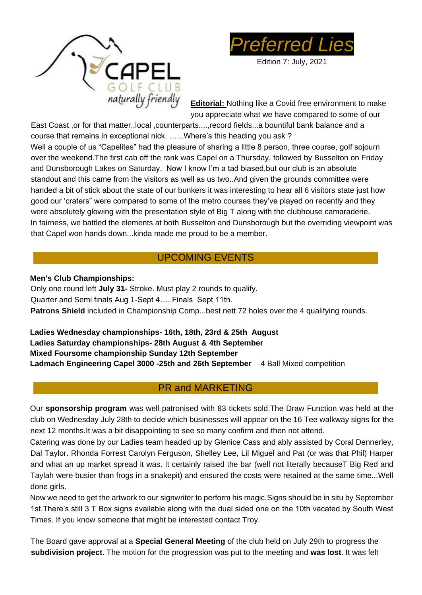



Edition 7: July, 2021

**Editorial:** Nothing like a Covid free environment to make you appreciate what we have compared to some of our

East Coast ,or for that matter..local ,counterparts....,record fields...a bountiful bank balance and a course that remains in exceptional nick. …...Where's this heading you ask ? Well a couple of us "Capelites" had the pleasure of sharing a little 8 person, three course, golf sojourn over the weekend.The first cab off the rank was Capel on a Thursday, followed by Busselton on Friday and Dunsborough Lakes on Saturday. Now I know I'm a tad biased,but our club is an absolute standout and this came from the visitors as well as us two..And given the grounds committee were handed a bit of stick about the state of our bunkers it was interesting to hear all 6 visitors state just how good our 'craters" were compared to some of the metro courses they've played on recently and they were absolutely glowing with the presentation style of Big T along with the clubhouse camaraderie. In fairness, we battled the elements at both Busselton and Dunsborough but the overriding viewpoint was that Capel won hands down...kinda made me proud to be a member.

## UPCOMING EVENTS

#### **Men's Club Championships:**

Only one round left **July 31-** Stroke. Must play 2 rounds to qualify. Quarter and Semi finals Aug 1-Sept 4…..Finals Sept 11th. **Patrons Shield** included in Championship Comp...best nett 72 holes over the 4 qualifying rounds.

**Ladies Wednesday championships- 16th, 18th, 23rd & 25th August Ladies Saturday championships- 28th August & 4th September Mixed Foursome championship Sunday 12th September Ladmach Engineering Capel 3000 -25th and 26th September** 4 Ball Mixed competition

#### PR and MARKETING

Our **sponsorship program** was well patronised with 83 tickets sold.The Draw Function was held at the club on Wednesday July 28th to decide which businesses will appear on the 16 Tee walkway signs for the next 12 months.It was a bit disappointing to see so many confirm and then not attend.

Catering was done by our Ladies team headed up by Glenice Cass and ably assisted by Coral Dennerley, Dal Taylor. Rhonda Forrest Carolyn Ferguson, Shelley Lee, Lil Miguel and Pat (or was that Phil) Harper and what an up market spread it was. It certainly raised the bar (well not literally becauseT Big Red and Taylah were busier than frogs in a snakepit) and ensured the costs were retained at the same time...Well done girls.

Now we need to get the artwork to our signwriter to perform his magic.Signs should be in situ by September 1st.There's still 3 T Box signs available along with the dual sided one on the 10th vacated by South West Times. If you know someone that might be interested contact Troy.

The Board gave approval at a **Special General Meeting** of the club held on July 29th to progress the **subdivision project**. The motion for the progression was put to the meeting and **was lost**. It was felt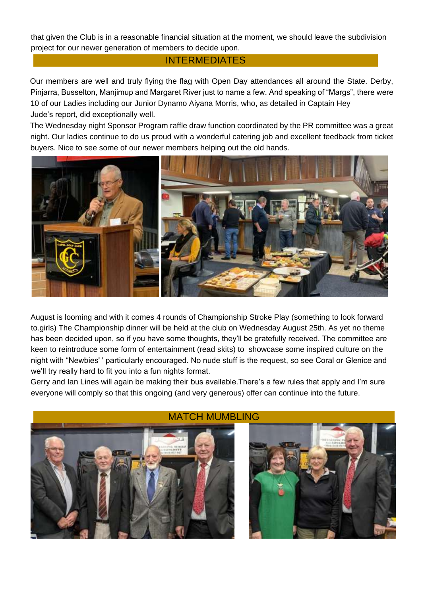that given the Club is in a reasonable financial situation at the moment, we should leave the subdivision project for our newer generation of members to decide upon.

#### **INTERMEDIATES**

Our members are well and truly flying the flag with Open Day attendances all around the State. Derby, Pinjarra, Busselton, Manjimup and Margaret River just to name a few. And speaking of "Margs", there were 10 of our Ladies including our Junior Dynamo Aiyana Morris, who, as detailed in Captain Hey Jude's report, did exceptionally well.

The Wednesday night Sponsor Program raffle draw function coordinated by the PR committee was a great night. Our ladies continue to do us proud with a wonderful catering job and excellent feedback from ticket buyers. Nice to see some of our newer members helping out the old hands.



August is looming and with it comes 4 rounds of Championship Stroke Play (something to look forward to.girls) The Championship dinner will be held at the club on Wednesday August 25th. As yet no theme has been decided upon, so if you have some thoughts, they'll be gratefully received. The committee are keen to reintroduce some form of entertainment (read skits) to showcase some inspired culture on the night with "Newbies' ' particularly encouraged. No nude stuff is the request, so see Coral or Glenice and we'll try really hard to fit you into a fun nights format.

Gerry and Ian Lines will again be making their bus available.There's a few rules that apply and I'm sure everyone will comply so that this ongoing (and very generous) offer can continue into the future.



#### MATCH MUMBLING

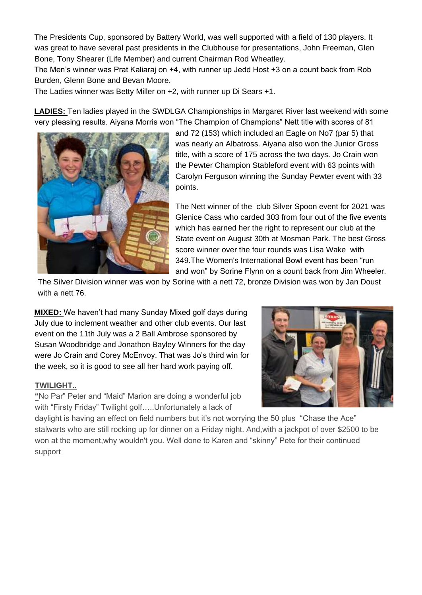The Presidents Cup, sponsored by Battery World, was well supported with a field of 130 players. It was great to have several past presidents in the Clubhouse for presentations, John Freeman, Glen Bone, Tony Shearer (Life Member) and current Chairman Rod Wheatley.

The Men's winner was Prat Kaliaraj on +4, with runner up Jedd Host +3 on a count back from Rob Burden, Glenn Bone and Bevan Moore.

The Ladies winner was Betty Miller on +2, with runner up Di Sears +1.

**LADIES:** Ten ladies played in the SWDLGA Championships in Margaret River last weekend with some very pleasing results. Aiyana Morris won "The Champion of Champions" Nett title with scores of 81



and 72 (153) which included an Eagle on No7 (par 5) that was nearly an Albatross. Aiyana also won the Junior Gross title, with a score of 175 across the two days. Jo Crain won the Pewter Champion Stableford event with 63 points with Carolyn Ferguson winning the Sunday Pewter event with 33 points.

The Nett winner of the club Silver Spoon event for 2021 was Glenice Cass who carded 303 from four out of the five events which has earned her the right to represent our club at the State event on August 30th at Mosman Park. The best Gross score winner over the four rounds was Lisa Wake with 349.The Women's International Bowl event has been "run and won" by Sorine Flynn on a count back from Jim Wheeler.

The Silver Division winner was won by Sorine with a nett 72, bronze Division was won by Jan Doust with a nett 76.

**MIXED:** We haven't had many Sunday Mixed golf days during July due to inclement weather and other club events. Our last event on the 11th July was a 2 Ball Ambrose sponsored by Susan Woodbridge and Jonathon Bayley Winners for the day were Jo Crain and Corey McEnvoy. That was Jo's third win for the week, so it is good to see all her hard work paying off.

#### **TWILIGHT..**

**"**No Par" Peter and "Maid" Marion are doing a wonderful job with "Firsty Friday" Twilight golf…..Unfortunately a lack of



daylight is having an effect on field numbers but it's not worrying the 50 plus "Chase the Ace" stalwarts who are still rocking up for dinner on a Friday night. And,with a jackpot of over \$2500 to be won at the moment,why wouldn't you. Well done to Karen and "skinny" Pete for their continued support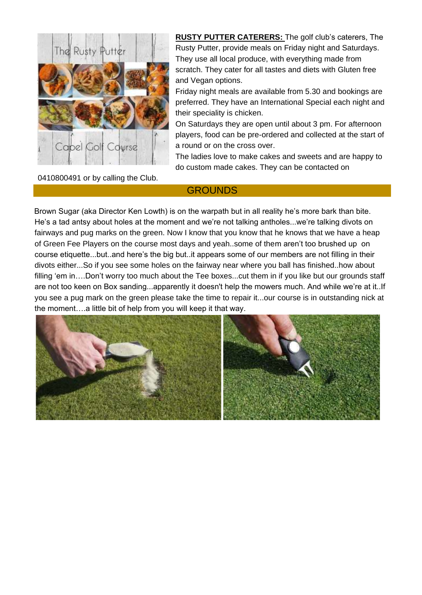

**RUSTY PUTTER CATERERS:** The golf club's caterers, The Rusty Putter, provide meals on Friday night and Saturdays. They use all local produce, with everything made from scratch. They cater for all tastes and diets with Gluten free and Vegan options.

Friday night meals are available from 5.30 and bookings are preferred. They have an International Special each night and their speciality is chicken.

On Saturdays they are open until about 3 pm. For afternoon players, food can be pre-ordered and collected at the start of a round or on the cross over.

The ladies love to make cakes and sweets and are happy to do custom made cakes. They can be contacted on

0410800491 or by calling the Club.

#### **GROUNDS**

Brown Sugar (aka Director Ken Lowth) is on the warpath but in all reality he's more bark than bite. He's a tad antsy about holes at the moment and we're not talking antholes...we're talking divots on fairways and pug marks on the green. Now I know that you know that he knows that we have a heap of Green Fee Players on the course most days and yeah..some of them aren't too brushed up on course etiquette...but..and here's the big but..it appears some of our members are not filling in their divots either...So if you see some holes on the fairway near where you ball has finished..how about filling 'em in….Don't worry too much about the Tee boxes...cut them in if you like but our grounds staff are not too keen on Box sanding...apparently it doesn't help the mowers much. And while we're at it..If you see a pug mark on the green please take the time to repair it...our course is in outstanding nick at the moment….a little bit of help from you will keep it that way.

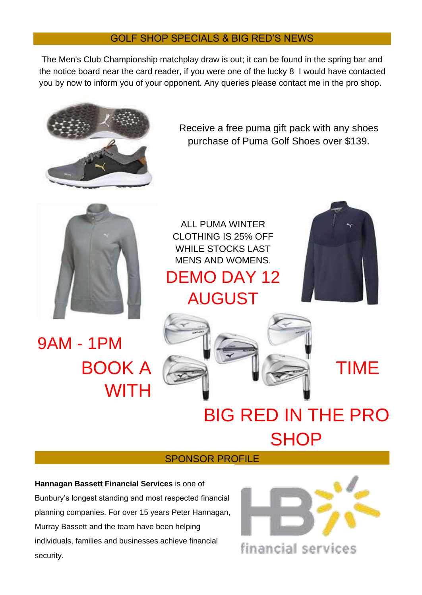#### GOLF SHOP SPECIALS & BIG RED'S NEWS

The Men's Club Championship matchplay draw is out; it can be found in the spring bar and the notice board near the card reader, if you were one of the lucky 8 I would have contacted you by now to inform you of your opponent. Any queries please contact me in the pro shop.



Receive a free puma gift pack with any shoes purchase of Puma Golf Shoes over \$139.



9AM - 1PM **WITH** 

ALL PUMA WINTER CLOTHING IS 25% OFF WHILE STOCKS LAST MENS AND WOMENS.

# DEMO DAY 12 AUGUST





# BIG RED IN THE PRO **SHOP**

#### SPONSOR PROFILE

**Hannagan Bassett Financial Services** is one of Bunbury's longest standing and most respected financial planning companies. For over 15 years Peter Hannagan, Murray Bassett and the team have been helping individuals, families and businesses achieve financial security.



financial services